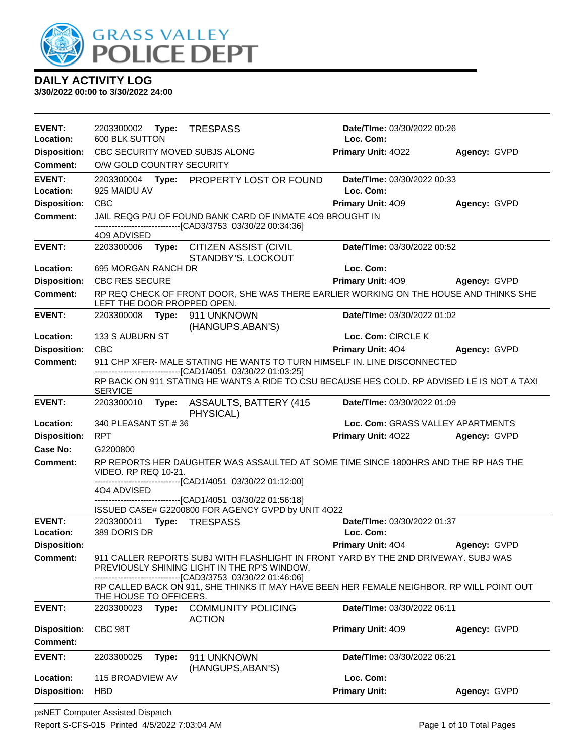

| <b>EVENT:</b><br>Location:             | 2203300002 Type:<br>600 BLK SUTTON |       | <b>TRESPASS</b>                                                                                                                                    | Date/TIme: 03/30/2022 00:26<br>Loc. Com: |              |
|----------------------------------------|------------------------------------|-------|----------------------------------------------------------------------------------------------------------------------------------------------------|------------------------------------------|--------------|
| <b>Disposition:</b>                    |                                    |       | CBC SECURITY MOVED SUBJS ALONG                                                                                                                     | Primary Unit: 4022                       | Agency: GVPD |
| <b>Comment:</b>                        | O/W GOLD COUNTRY SECURITY          |       |                                                                                                                                                    |                                          |              |
| <b>EVENT:</b><br>Location:             | 2203300004<br>925 MAIDU AV         |       | Type: PROPERTY LOST OR FOUND                                                                                                                       | Date/TIme: 03/30/2022 00:33<br>Loc. Com: |              |
| <b>Disposition:</b>                    | <b>CBC</b>                         |       |                                                                                                                                                    | Primary Unit: 409                        | Agency: GVPD |
| <b>Comment:</b>                        |                                    |       | JAIL REQG P/U OF FOUND BANK CARD OF INMATE 4O9 BROUGHT IN                                                                                          |                                          |              |
|                                        | 4O9 ADVISED                        |       | --------------------------------[CAD3/3753 03/30/22 00:34:36]                                                                                      |                                          |              |
| <b>EVENT:</b>                          | 2203300006                         | Type: | CITIZEN ASSIST (CIVIL<br>STANDBY'S, LOCKOUT                                                                                                        | Date/TIme: 03/30/2022 00:52              |              |
| Location:                              | 695 MORGAN RANCH DR                |       |                                                                                                                                                    | Loc. Com:                                |              |
| <b>Disposition:</b>                    | <b>CBC RES SECURE</b>              |       |                                                                                                                                                    | Primary Unit: 409                        | Agency: GVPD |
| <b>Comment:</b>                        | LEFT THE DOOR PROPPED OPEN.        |       | RP REQ CHECK OF FRONT DOOR, SHE WAS THERE EARLIER WORKING ON THE HOUSE AND THINKS SHE                                                              |                                          |              |
| <b>EVENT:</b>                          | 2203300008 Type:                   |       | 911 UNKNOWN<br>(HANGUPS, ABAN'S)                                                                                                                   | Date/TIme: 03/30/2022 01:02              |              |
| Location:                              | 133 S AUBURN ST                    |       |                                                                                                                                                    | Loc. Com: CIRCLE K                       |              |
| <b>Disposition:</b>                    | <b>CBC</b>                         |       |                                                                                                                                                    | Primary Unit: 404                        | Agency: GVPD |
| <b>Comment:</b>                        |                                    |       | 911 CHP XFER- MALE STATING HE WANTS TO TURN HIMSELF IN. LINE DISCONNECTED<br>--------------------------[CAD1/4051 03/30/22 01:03:25]               |                                          |              |
|                                        | <b>SERVICE</b>                     |       | RP BACK ON 911 STATING HE WANTS A RIDE TO CSU BECAUSE HES COLD. RP ADVISED LE IS NOT A TAXI                                                        |                                          |              |
| <b>EVENT:</b>                          | 2203300010                         |       | Type: ASSAULTS, BATTERY (415)<br>PHYSICAL)                                                                                                         | Date/TIme: 03/30/2022 01:09              |              |
| Location:                              | 340 PLEASANT ST # 36               |       |                                                                                                                                                    | Loc. Com: GRASS VALLEY APARTMENTS        |              |
| <b>Disposition:</b>                    | <b>RPT</b>                         |       |                                                                                                                                                    | Primary Unit: 4022                       | Agency: GVPD |
| Case No:                               | G2200800                           |       |                                                                                                                                                    |                                          |              |
| <b>Comment:</b>                        | VIDEO. RP REQ 10-21.               |       | RP REPORTS HER DAUGHTER WAS ASSAULTED AT SOME TIME SINCE 1800HRS AND THE RP HAS THE<br>-------------------[CAD1/4051_03/30/22 01:12:00]            |                                          |              |
|                                        | 4O4 ADVISED                        |       |                                                                                                                                                    |                                          |              |
|                                        |                                    |       | -------------------[CAD1/4051_03/30/22 01:56:18]                                                                                                   |                                          |              |
| <b>EVENT:</b>                          |                                    |       | ISSUED CASE# G2200800 FOR AGENCY GVPD by UNIT 4O22<br>2203300011 Type: TRESPASS                                                                    | Date/TIme: 03/30/2022 01:37              |              |
| Location:                              | 389 DORIS DR                       |       |                                                                                                                                                    | Loc. Com:                                |              |
| <b>Disposition:</b>                    |                                    |       |                                                                                                                                                    | <b>Primary Unit: 404</b>                 | Agency: GVPD |
| <b>Comment:</b>                        |                                    |       | 911 CALLER REPORTS SUBJ WITH FLASHLIGHT IN FRONT YARD BY THE 2ND DRIVEWAY. SUBJ WAS<br>PREVIOUSLY SHINING LIGHT IN THE RP'S WINDOW.                |                                          |              |
|                                        | THE HOUSE TO OFFICERS.             |       | ------------------------[CAD3/3753 03/30/22 01:46:06]<br>RP CALLED BACK ON 911, SHE THINKS IT MAY HAVE BEEN HER FEMALE NEIGHBOR. RP WILL POINT OUT |                                          |              |
| <b>EVENT:</b>                          | 2203300023                         |       | Type: COMMUNITY POLICING<br><b>ACTION</b>                                                                                                          | Date/TIme: 03/30/2022 06:11              |              |
| <b>Disposition:</b><br><b>Comment:</b> | CBC 98T                            |       |                                                                                                                                                    | Primary Unit: 409                        | Agency: GVPD |
| <b>EVENT:</b>                          | 2203300025                         | Type: | 911 UNKNOWN<br>(HANGUPS, ABAN'S)                                                                                                                   | Date/TIme: 03/30/2022 06:21              |              |
| Location:                              | 115 BROADVIEW AV                   |       |                                                                                                                                                    | Loc. Com:                                |              |
| <b>Disposition:</b>                    | <b>HBD</b>                         |       |                                                                                                                                                    | <b>Primary Unit:</b>                     | Agency: GVPD |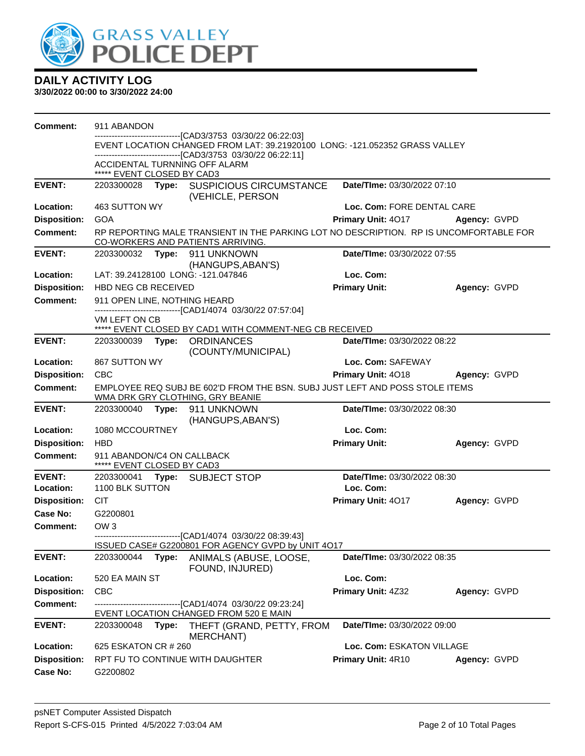

| Comment:            | 911 ABANDON                                                                                                      |       |                                                                                                                                        |                             |              |  |
|---------------------|------------------------------------------------------------------------------------------------------------------|-------|----------------------------------------------------------------------------------------------------------------------------------------|-----------------------------|--------------|--|
|                     |                                                                                                                  |       | --------------------------[CAD3/3753 03/30/22 06:22:03]<br>EVENT LOCATION CHANGED FROM LAT: 39.21920100 LONG: -121.052352 GRASS VALLEY |                             |              |  |
|                     |                                                                                                                  |       | --------------------------------[CAD3/3753_03/30/22_06:22:11]<br>ACCIDENTAL TURNNING OFF ALARM                                         |                             |              |  |
|                     | ***** EVENT CLOSED BY CAD3                                                                                       |       |                                                                                                                                        |                             |              |  |
| <b>EVENT:</b>       |                                                                                                                  |       | 2203300028 Type: SUSPICIOUS CIRCUMSTANCE<br>(VEHICLE, PERSON                                                                           | Date/TIme: 03/30/2022 07:10 |              |  |
| Location:           | 463 SUTTON WY                                                                                                    |       |                                                                                                                                        | Loc. Com: FORE DENTAL CARE  |              |  |
| <b>Disposition:</b> | <b>GOA</b>                                                                                                       |       |                                                                                                                                        | Primary Unit: 4017          | Agency: GVPD |  |
| <b>Comment:</b>     |                                                                                                                  |       | RP REPORTING MALE TRANSIENT IN THE PARKING LOT NO DESCRIPTION. RP IS UNCOMFORTABLE FOR<br>CO-WORKERS AND PATIENTS ARRIVING.            |                             |              |  |
| <b>EVENT:</b>       |                                                                                                                  |       | 2203300032 Type: 911 UNKNOWN                                                                                                           | Date/TIme: 03/30/2022 07:55 |              |  |
|                     |                                                                                                                  |       | (HANGUPS, ABAN'S)                                                                                                                      |                             |              |  |
| Location:           |                                                                                                                  |       | LAT: 39.24128100 LONG: -121.047846                                                                                                     | Loc. Com:                   |              |  |
| <b>Disposition:</b> | HBD NEG CB RECEIVED                                                                                              |       |                                                                                                                                        | <b>Primary Unit:</b>        | Agency: GVPD |  |
| <b>Comment:</b>     | 911 OPEN LINE, NOTHING HEARD                                                                                     |       | -------------------------------[CAD1/4074_03/30/22_07:57:04]                                                                           |                             |              |  |
|                     | VM LEFT ON CB                                                                                                    |       | ***** EVENT CLOSED BY CAD1 WITH COMMENT-NEG CB RECEIVED                                                                                |                             |              |  |
| <b>EVENT:</b>       | 2203300039                                                                                                       |       | Type: ORDINANCES<br>(COUNTY/MUNICIPAL)                                                                                                 | Date/TIme: 03/30/2022 08:22 |              |  |
| Location:           | 867 SUTTON WY                                                                                                    |       |                                                                                                                                        | Loc. Com: SAFEWAY           |              |  |
| <b>Disposition:</b> | <b>CBC</b>                                                                                                       |       |                                                                                                                                        | Primary Unit: 4018          | Agency: GVPD |  |
| <b>Comment:</b>     | EMPLOYEE REQ SUBJ BE 602'D FROM THE BSN. SUBJ JUST LEFT AND POSS STOLE ITEMS<br>WMA DRK GRY CLOTHING, GRY BEANIE |       |                                                                                                                                        |                             |              |  |
| <b>EVENT:</b>       | 2203300040                                                                                                       |       | Type: 911 UNKNOWN<br>(HANGUPS, ABAN'S)                                                                                                 | Date/TIme: 03/30/2022 08:30 |              |  |
| Location:           | 1080 MCCOURTNEY                                                                                                  |       |                                                                                                                                        | Loc. Com:                   |              |  |
| <b>Disposition:</b> | <b>HBD</b>                                                                                                       |       |                                                                                                                                        | <b>Primary Unit:</b>        | Agency: GVPD |  |
| <b>Comment:</b>     | 911 ABANDON/C4 ON CALLBACK<br>***** EVENT CLOSED BY CAD3                                                         |       |                                                                                                                                        |                             |              |  |
| <b>EVENT:</b>       |                                                                                                                  |       | 2203300041 Type: SUBJECT STOP                                                                                                          | Date/TIme: 03/30/2022 08:30 |              |  |
| Location:           | 1100 BLK SUTTON                                                                                                  |       |                                                                                                                                        | Loc. Com:                   |              |  |
| <b>Disposition:</b> | <b>CIT</b>                                                                                                       |       |                                                                                                                                        | Primary Unit: 4017          | Agency: GVPD |  |
| Case No:            | G2200801                                                                                                         |       |                                                                                                                                        |                             |              |  |
| Comment:            | OW <sub>3</sub>                                                                                                  |       |                                                                                                                                        |                             |              |  |
|                     |                                                                                                                  |       | -------------------------------[CAD1/4074_03/30/22_08:39:43]                                                                           |                             |              |  |
|                     |                                                                                                                  |       | ISSUED CASE# G2200801 FOR AGENCY GVPD by UNIT 4O17                                                                                     |                             |              |  |
| <b>EVENT:</b>       | 2203300044                                                                                                       |       | Type: ANIMALS (ABUSE, LOOSE,<br>FOUND, INJURED)                                                                                        | Date/TIme: 03/30/2022 08:35 |              |  |
| Location:           | 520 EA MAIN ST                                                                                                   |       |                                                                                                                                        | Loc. Com:                   |              |  |
| <b>Disposition:</b> | <b>CBC</b>                                                                                                       |       |                                                                                                                                        | Primary Unit: 4Z32          | Agency: GVPD |  |
| <b>Comment:</b>     |                                                                                                                  |       | -------------------------------[CAD1/4074 03/30/22 09:23:24]                                                                           |                             |              |  |
|                     |                                                                                                                  |       | EVENT LOCATION CHANGED FROM 520 E MAIN                                                                                                 |                             |              |  |
| <b>EVENT:</b>       | 2203300048                                                                                                       | Type: | THEFT (GRAND, PETTY, FROM<br>MERCHANT)                                                                                                 | Date/TIme: 03/30/2022 09:00 |              |  |
| Location:           | 625 ESKATON CR # 260                                                                                             |       |                                                                                                                                        | Loc. Com: ESKATON VILLAGE   |              |  |
| <b>Disposition:</b> |                                                                                                                  |       | RPT FU TO CONTINUE WITH DAUGHTER                                                                                                       | Primary Unit: 4R10          | Agency: GVPD |  |
| Case No:            | G2200802                                                                                                         |       |                                                                                                                                        |                             |              |  |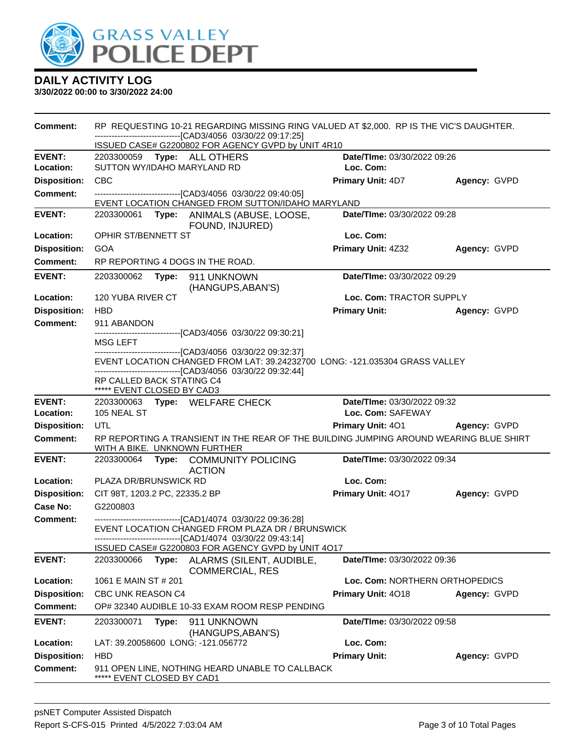

| Comment:                   | RP REQUESTING 10-21 REGARDING MISSING RING VALUED AT \$2,000. RP IS THE VIC'S DAUGHTER.<br>-------------------------------[CAD3/4056 03/30/22 09:17:25]<br>ISSUED CASE# G2200802 FOR AGENCY GVPD by UNIT 4R10 |                                |              |  |  |  |  |
|----------------------------|---------------------------------------------------------------------------------------------------------------------------------------------------------------------------------------------------------------|--------------------------------|--------------|--|--|--|--|
| <b>EVENT:</b>              | 2203300059 Type: ALL OTHERS                                                                                                                                                                                   | Date/TIme: 03/30/2022 09:26    |              |  |  |  |  |
| Location:                  | SUTTON WY/IDAHO MARYLAND RD                                                                                                                                                                                   | Loc. Com:                      |              |  |  |  |  |
| <b>Disposition:</b>        | <b>CBC</b>                                                                                                                                                                                                    | <b>Primary Unit: 4D7</b>       | Agency: GVPD |  |  |  |  |
| <b>Comment:</b>            | -------------------------------[CAD3/4056 03/30/22 09:40:05]<br>EVENT LOCATION CHANGED FROM SUTTON/IDAHO MARYLAND                                                                                             |                                |              |  |  |  |  |
| <b>EVENT:</b>              | 2203300061 Type: ANIMALS (ABUSE, LOOSE,<br>FOUND, INJURED)                                                                                                                                                    | Date/TIme: 03/30/2022 09:28    |              |  |  |  |  |
| Location:                  | OPHIR ST/BENNETT ST                                                                                                                                                                                           | Loc. Com:                      |              |  |  |  |  |
| <b>Disposition:</b>        | <b>GOA</b>                                                                                                                                                                                                    | <b>Primary Unit: 4Z32</b>      | Agency: GVPD |  |  |  |  |
| <b>Comment:</b>            | RP REPORTING 4 DOGS IN THE ROAD.                                                                                                                                                                              |                                |              |  |  |  |  |
| <b>EVENT:</b>              | 2203300062<br>Type: 911 UNKNOWN<br>(HANGUPS, ABAN'S)                                                                                                                                                          | Date/TIme: 03/30/2022 09:29    |              |  |  |  |  |
| Location:                  | 120 YUBA RIVER CT                                                                                                                                                                                             | Loc. Com: TRACTOR SUPPLY       |              |  |  |  |  |
| <b>Disposition:</b>        | <b>HBD</b>                                                                                                                                                                                                    | <b>Primary Unit:</b>           | Agency: GVPD |  |  |  |  |
| <b>Comment:</b>            | 911 ABANDON                                                                                                                                                                                                   |                                |              |  |  |  |  |
|                            | -------------------------------[CAD3/4056 03/30/22 09:30:21]<br>MSG LEFT                                                                                                                                      |                                |              |  |  |  |  |
|                            | --------------------------------[CAD3/4056 03/30/22 09:32:37]<br>EVENT LOCATION CHANGED FROM LAT: 39.24232700 LONG: -121.035304 GRASS VALLEY                                                                  |                                |              |  |  |  |  |
|                            | -------------------------------[CAD3/4056 03/30/22 09:32:44]                                                                                                                                                  |                                |              |  |  |  |  |
|                            | RP CALLED BACK STATING C4<br>***** EVENT CLOSED BY CAD3                                                                                                                                                       |                                |              |  |  |  |  |
| <b>EVENT:</b><br>Location: | Date/TIme: 03/30/2022 09:32<br>2203300063 Type: WELFARE CHECK<br>105 NEAL ST<br>Loc. Com: SAFEWAY                                                                                                             |                                |              |  |  |  |  |
| <b>Disposition:</b>        | UTL                                                                                                                                                                                                           | Primary Unit: 401 Agency: GVPD |              |  |  |  |  |
| <b>Comment:</b>            | RP REPORTING A TRANSIENT IN THE REAR OF THE BUILDING JUMPING AROUND WEARING BLUE SHIRT<br>WITH A BIKE. UNKNOWN FURTHER                                                                                        |                                |              |  |  |  |  |
| <b>EVENT:</b>              | 2203300064 Type: COMMUNITY POLICING<br><b>ACTION</b>                                                                                                                                                          | Date/TIme: 03/30/2022 09:34    |              |  |  |  |  |
| Location:                  | PLAZA DR/BRUNSWICK RD                                                                                                                                                                                         | Loc. Com:                      |              |  |  |  |  |
| <b>Disposition:</b>        | CIT 98T, 1203.2 PC, 22335.2 BP                                                                                                                                                                                | <b>Primary Unit: 4017</b>      | Agency: GVPD |  |  |  |  |
| Case No:                   | G2200803                                                                                                                                                                                                      |                                |              |  |  |  |  |
| <b>Comment:</b>            | -------------------------------[CAD1/4074 03/30/22 09:36:28]<br>EVENT LOCATION CHANGED FROM PLAZA DR / BRUNSWICK<br>------------------------------[CAD1/4074 03/30/22 09:43:14]                               |                                |              |  |  |  |  |
| <b>EVENT:</b>              | ISSUED CASE# G2200803 FOR AGENCY GVPD by UNIT 4O17<br>2203300066<br>Type:                                                                                                                                     | Date/TIme: 03/30/2022 09:36    |              |  |  |  |  |
|                            | ALARMS (SILENT, AUDIBLE,<br>COMMERCIAL, RES                                                                                                                                                                   |                                |              |  |  |  |  |
| Location:                  | 1061 E MAIN ST # 201                                                                                                                                                                                          | Loc. Com: NORTHERN ORTHOPEDICS |              |  |  |  |  |
| <b>Disposition:</b>        | CBC UNK REASON C4                                                                                                                                                                                             | <b>Primary Unit: 4018</b>      | Agency: GVPD |  |  |  |  |
| <b>Comment:</b>            | OP# 32340 AUDIBLE 10-33 EXAM ROOM RESP PENDING                                                                                                                                                                |                                |              |  |  |  |  |
| <b>EVENT:</b>              | 2203300071<br>Type:<br>911 UNKNOWN<br>(HANGUPS, ABAN'S)                                                                                                                                                       | Date/TIme: 03/30/2022 09:58    |              |  |  |  |  |
| Location:                  | LAT: 39.20058600 LONG: -121.056772                                                                                                                                                                            | Loc. Com:                      |              |  |  |  |  |
| <b>Disposition:</b>        | <b>HBD</b>                                                                                                                                                                                                    | <b>Primary Unit:</b>           | Agency: GVPD |  |  |  |  |
| <b>Comment:</b>            | 911 OPEN LINE, NOTHING HEARD UNABLE TO CALLBACK<br>***** EVENT CLOSED BY CAD1                                                                                                                                 |                                |              |  |  |  |  |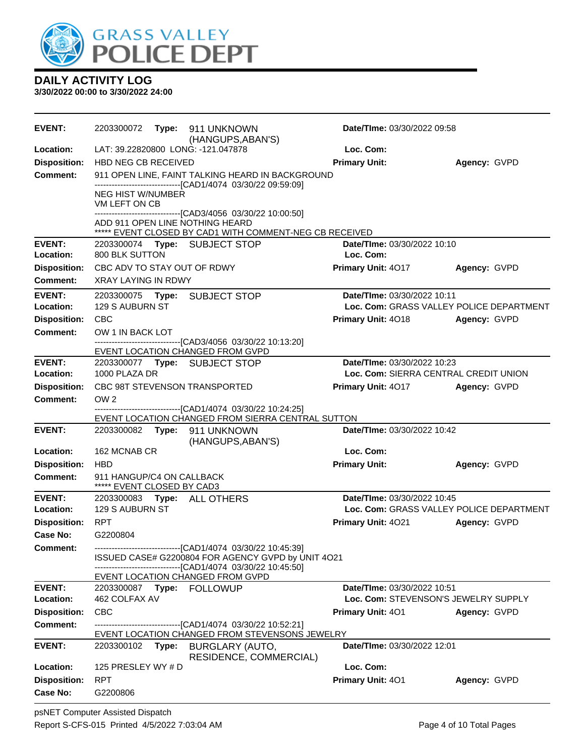

**3/30/2022 00:00 to 3/30/2022 24:00**

| <b>EVENT:</b>       |                                                                                                                   |       | (HANGUPS, ABAN'S)                                                                                                  | Date/TIme: 03/30/2022 09:58           |                                          |  |
|---------------------|-------------------------------------------------------------------------------------------------------------------|-------|--------------------------------------------------------------------------------------------------------------------|---------------------------------------|------------------------------------------|--|
| Location:           |                                                                                                                   |       | LAT: 39.22820800 LONG: -121.047878                                                                                 | Loc. Com:                             |                                          |  |
| <b>Disposition:</b> | HBD NEG CB RECEIVED                                                                                               |       |                                                                                                                    | <b>Primary Unit:</b>                  | Agency: GVPD                             |  |
| <b>Comment:</b>     | 911 OPEN LINE, FAINT TALKING HEARD IN BACKGROUND<br>--------------------------------[CAD1/4074 03/30/22 09:59:09] |       |                                                                                                                    |                                       |                                          |  |
|                     | <b>NEG HIST W/NUMBER</b><br>VM LEFT ON CB                                                                         |       |                                                                                                                    |                                       |                                          |  |
|                     |                                                                                                                   |       | -----------------------[CAD3/4056 03/30/22 10:00:50]<br>ADD 911 OPEN LINE NOTHING HEARD                            |                                       |                                          |  |
|                     |                                                                                                                   |       | ***** EVENT CLOSED BY CAD1 WITH COMMENT-NEG CB RECEIVED                                                            |                                       |                                          |  |
| <b>EVENT:</b>       |                                                                                                                   |       | 2203300074 Type: SUBJECT STOP                                                                                      | Date/TIme: 03/30/2022 10:10           |                                          |  |
| Location:           | 800 BLK SUTTON                                                                                                    |       |                                                                                                                    | Loc. Com:                             |                                          |  |
| <b>Disposition:</b> | CBC ADV TO STAY OUT OF RDWY                                                                                       |       |                                                                                                                    | Primary Unit: 4017                    | Agency: GVPD                             |  |
| <b>Comment:</b>     | <b>XRAY LAYING IN RDWY</b>                                                                                        |       |                                                                                                                    |                                       |                                          |  |
| <b>EVENT:</b>       |                                                                                                                   |       |                                                                                                                    | Date/TIme: 03/30/2022 10:11           |                                          |  |
| Location:           | 129 S AUBURN ST                                                                                                   |       |                                                                                                                    |                                       | Loc. Com: GRASS VALLEY POLICE DEPARTMENT |  |
| <b>Disposition:</b> | <b>CBC</b>                                                                                                        |       |                                                                                                                    | <b>Primary Unit: 4018</b>             | Agency: GVPD                             |  |
| <b>Comment:</b>     | OW 1 IN BACK LOT                                                                                                  |       | -------------------------------[CAD3/4056 03/30/22 10:13:20]                                                       |                                       |                                          |  |
|                     |                                                                                                                   |       | EVENT LOCATION CHANGED FROM GVPD                                                                                   |                                       |                                          |  |
| <b>EVENT:</b>       |                                                                                                                   |       | 2203300077 Type: SUBJECT STOP                                                                                      | Date/TIme: 03/30/2022 10:23           |                                          |  |
| Location:           | 1000 PLAZA DR                                                                                                     |       |                                                                                                                    | Loc. Com: SIERRA CENTRAL CREDIT UNION |                                          |  |
| <b>Disposition:</b> |                                                                                                                   |       | CBC 98T STEVENSON TRANSPORTED                                                                                      | <b>Primary Unit: 4017</b>             | Agency: GVPD                             |  |
| <b>Comment:</b>     | OW <sub>2</sub>                                                                                                   |       |                                                                                                                    |                                       |                                          |  |
|                     |                                                                                                                   |       | ------------------------------[CAD1/4074 03/30/22 10:24:25]                                                        |                                       |                                          |  |
| <b>EVENT:</b>       |                                                                                                                   |       | EVENT LOCATION CHANGED FROM SIERRA CENTRAL SUTTON                                                                  | Date/TIme: 03/30/2022 10:42           |                                          |  |
|                     | 2203300082 Type:                                                                                                  |       | 911 UNKNOWN<br>(HANGUPS, ABAN'S)                                                                                   |                                       |                                          |  |
| Location:           | 162 MCNAB CR                                                                                                      |       |                                                                                                                    | Loc. Com:                             |                                          |  |
| <b>Disposition:</b> | <b>HBD</b>                                                                                                        |       |                                                                                                                    | <b>Primary Unit:</b>                  | Agency: GVPD                             |  |
| <b>Comment:</b>     | 911 HANGUP/C4 ON CALLBACK<br>***** EVENT CLOSED BY CAD3                                                           |       |                                                                                                                    |                                       |                                          |  |
| <b>EVENT:</b>       |                                                                                                                   |       | 2203300083 Type: ALL OTHERS                                                                                        | Date/TIme: 03/30/2022 10:45           |                                          |  |
| Location:           | 129 S AUBURN ST                                                                                                   |       |                                                                                                                    |                                       | Loc. Com: GRASS VALLEY POLICE DEPARTMENT |  |
| <b>Disposition:</b> | <b>RPT</b>                                                                                                        |       |                                                                                                                    | Primary Unit: 4021                    | Agency: GVPD                             |  |
| Case No:            | G2200804                                                                                                          |       |                                                                                                                    |                                       |                                          |  |
| <b>Comment:</b>     |                                                                                                                   |       | -------------------------------[CAD1/4074_03/30/22 10:45:39]<br>ISSUED CASE# G2200804 FOR AGENCY GVPD by UNIT 4O21 |                                       |                                          |  |
|                     |                                                                                                                   |       | -------[CAD1/4074_03/30/22 10:45:50]<br>EVENT LOCATION CHANGED FROM GVPD                                           |                                       |                                          |  |
| <b>EVENT:</b>       |                                                                                                                   |       |                                                                                                                    | Date/TIme: 03/30/2022 10:51           |                                          |  |
| Location:           | 462 COLFAX AV                                                                                                     |       |                                                                                                                    | Loc. Com: STEVENSON'S JEWELRY SUPPLY  |                                          |  |
| <b>Disposition:</b> | <b>CBC</b>                                                                                                        |       |                                                                                                                    | <b>Primary Unit: 401</b>              | Agency: GVPD                             |  |
| <b>Comment:</b>     |                                                                                                                   |       | ---------------------------------[CAD1/4074 03/30/22 10:52:21]                                                     |                                       |                                          |  |
|                     |                                                                                                                   |       | EVENT LOCATION CHANGED FROM STEVENSONS JEWELRY                                                                     |                                       |                                          |  |
| <b>EVENT:</b>       | 2203300102                                                                                                        | Type: | <b>BURGLARY (AUTO,</b>                                                                                             | Date/TIme: 03/30/2022 12:01           |                                          |  |
| Location:           | 125 PRESLEY WY # D                                                                                                |       | RESIDENCE, COMMERCIAL)                                                                                             | Loc. Com:                             |                                          |  |
| <b>Disposition:</b> | <b>RPT</b>                                                                                                        |       |                                                                                                                    | Primary Unit: 401                     | Agency: GVPD                             |  |
| Case No:            | G2200806                                                                                                          |       |                                                                                                                    |                                       |                                          |  |
|                     |                                                                                                                   |       |                                                                                                                    |                                       |                                          |  |

psNET Computer Assisted Dispatch Report S-CFS-015 Printed 4/5/2022 7:03:04 AM Page 4 of 10 Total Pages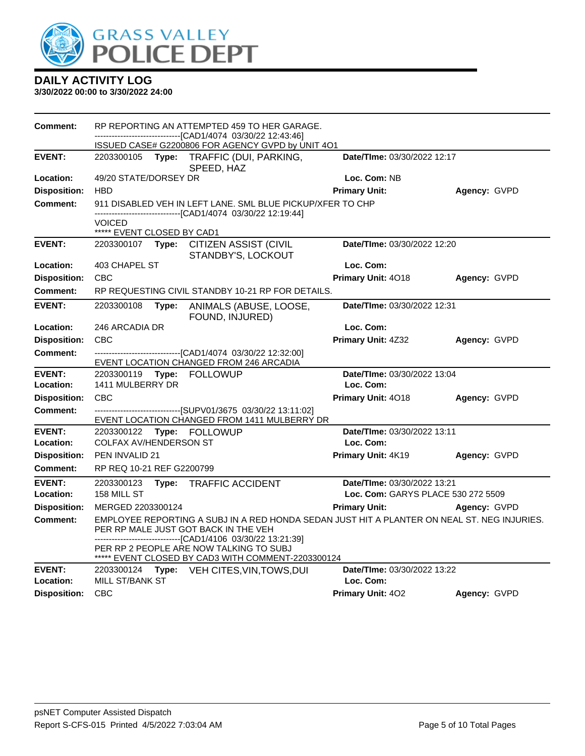

| --------------------------[CAD1/4074_03/30/22 12:43:46]<br>ISSUED CASE# G2200806 FOR AGENCY GVPD by UNIT 4O1<br>Date/TIme: 03/30/2022 12:17<br><b>EVENT:</b><br>2203300105<br>Type:<br>TRAFFIC (DUI, PARKING,<br>SPEED, HAZ<br>Location:<br>49/20 STATE/DORSEY DR<br>Loc. Com: NB<br><b>Disposition:</b><br><b>HBD</b><br><b>Primary Unit:</b><br>Agency: GVPD<br><b>Comment:</b><br>911 DISABLED VEH IN LEFT LANE. SML BLUE PICKUP/XFER TO CHP<br>-------------------------------[CAD1/4074 03/30/22 12:19:44] |  |
|-----------------------------------------------------------------------------------------------------------------------------------------------------------------------------------------------------------------------------------------------------------------------------------------------------------------------------------------------------------------------------------------------------------------------------------------------------------------------------------------------------------------|--|
|                                                                                                                                                                                                                                                                                                                                                                                                                                                                                                                 |  |
|                                                                                                                                                                                                                                                                                                                                                                                                                                                                                                                 |  |
|                                                                                                                                                                                                                                                                                                                                                                                                                                                                                                                 |  |
|                                                                                                                                                                                                                                                                                                                                                                                                                                                                                                                 |  |
|                                                                                                                                                                                                                                                                                                                                                                                                                                                                                                                 |  |
| <b>VOICED</b><br>***** EVENT CLOSED BY CAD1                                                                                                                                                                                                                                                                                                                                                                                                                                                                     |  |
| <b>EVENT:</b><br>Date/TIme: 03/30/2022 12:20<br>2203300107 Type: CITIZEN ASSIST (CIVIL<br>STANDBY'S, LOCKOUT                                                                                                                                                                                                                                                                                                                                                                                                    |  |
| 403 CHAPEL ST<br>Loc. Com:<br>Location:                                                                                                                                                                                                                                                                                                                                                                                                                                                                         |  |
| <b>CBC</b><br><b>Disposition:</b><br>Primary Unit: 4018<br>Agency: GVPD                                                                                                                                                                                                                                                                                                                                                                                                                                         |  |
| RP REQUESTING CIVIL STANDBY 10-21 RP FOR DETAILS.<br><b>Comment:</b>                                                                                                                                                                                                                                                                                                                                                                                                                                            |  |
| <b>EVENT:</b><br>Date/TIme: 03/30/2022 12:31<br>2203300108<br>Type:<br>ANIMALS (ABUSE, LOOSE,<br>FOUND, INJURED)                                                                                                                                                                                                                                                                                                                                                                                                |  |
| Loc. Com:<br>Location:<br>246 ARCADIA DR                                                                                                                                                                                                                                                                                                                                                                                                                                                                        |  |
| <b>Disposition:</b><br><b>CBC</b><br>Primary Unit: 4Z32<br>Agency: GVPD                                                                                                                                                                                                                                                                                                                                                                                                                                         |  |
| -------------------------------[CAD1/4074 03/30/22 12:32:00]<br><b>Comment:</b><br>EVENT LOCATION CHANGED FROM 246 ARCADIA                                                                                                                                                                                                                                                                                                                                                                                      |  |
| <b>EVENT:</b><br>Date/TIme: 03/30/2022 13:04<br>Type: FOLLOWUP<br>2203300119                                                                                                                                                                                                                                                                                                                                                                                                                                    |  |
| 1411 MULBERRY DR<br>Loc. Com:<br>Location:                                                                                                                                                                                                                                                                                                                                                                                                                                                                      |  |
| <b>Disposition:</b><br><b>CBC</b><br>Primary Unit: 4018<br>Agency: GVPD                                                                                                                                                                                                                                                                                                                                                                                                                                         |  |
| -------------------------------[SUPV01/3675 03/30/22 13:11:02]<br>Comment:<br>EVENT LOCATION CHANGED FROM 1411 MULBERRY DR                                                                                                                                                                                                                                                                                                                                                                                      |  |
| Date/TIme: 03/30/2022 13:11<br><b>EVENT:</b><br>2203300122<br>Type: FOLLOWUP                                                                                                                                                                                                                                                                                                                                                                                                                                    |  |
| Location:<br><b>COLFAX AV/HENDERSON ST</b><br>Loc. Com:                                                                                                                                                                                                                                                                                                                                                                                                                                                         |  |
| Primary Unit: 4K19<br><b>Disposition:</b><br>PEN INVALID 21<br>Agency: GVPD                                                                                                                                                                                                                                                                                                                                                                                                                                     |  |
| RP REQ 10-21 REF G2200799<br><b>Comment:</b>                                                                                                                                                                                                                                                                                                                                                                                                                                                                    |  |
| <b>EVENT:</b><br>Date/TIme: 03/30/2022 13:21<br>2203300123<br>Type: TRAFFIC ACCIDENT                                                                                                                                                                                                                                                                                                                                                                                                                            |  |
| Loc. Com: GARYS PLACE 530 272 5509<br>Location:<br>158 MILL ST                                                                                                                                                                                                                                                                                                                                                                                                                                                  |  |
| <b>Primary Unit:</b><br><b>Disposition:</b><br>MERGED 2203300124<br>Agency: GVPD                                                                                                                                                                                                                                                                                                                                                                                                                                |  |
| EMPLOYEE REPORTING A SUBJ IN A RED HONDA SEDAN JUST HIT A PLANTER ON NEAL ST. NEG INJURIES.<br>Comment:<br>PER RP MALE JUST GOT BACK IN THE VEH<br>--------------------------------[CAD1/4106 03/30/22 13:21:39]<br>PER RP 2 PEOPLE ARE NOW TALKING TO SUBJ                                                                                                                                                                                                                                                     |  |
| ***** EVENT CLOSED BY CAD3 WITH COMMENT-2203300124<br><b>EVENT:</b><br>Date/TIme: 03/30/2022 13:22<br>2203300124                                                                                                                                                                                                                                                                                                                                                                                                |  |
| Type: VEH CITES, VIN, TOWS, DUI<br><b>MILL ST/BANK ST</b><br>Location:<br>Loc. Com:                                                                                                                                                                                                                                                                                                                                                                                                                             |  |
| <b>CBC</b><br><b>Disposition:</b><br><b>Primary Unit: 402</b><br>Agency: GVPD                                                                                                                                                                                                                                                                                                                                                                                                                                   |  |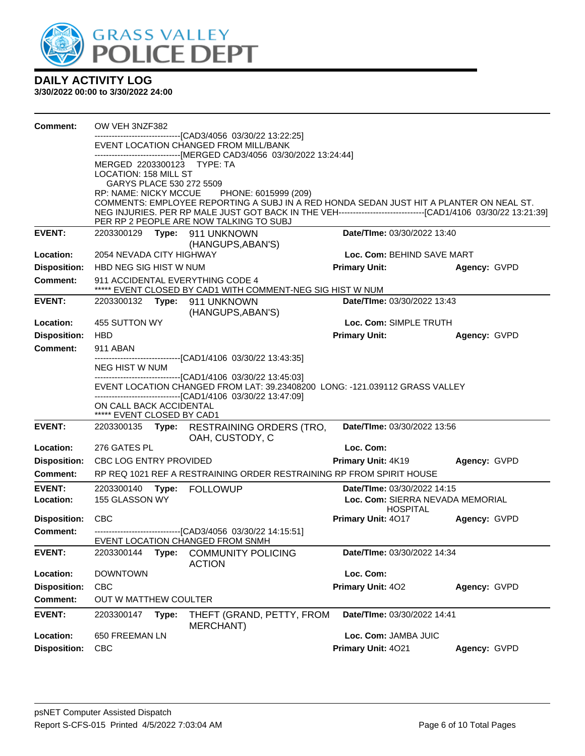

| <b>Comment:</b>     | OW VEH 3NZF382                                                                                                                                                                                              |       |                                                                                                                |                                       |              |
|---------------------|-------------------------------------------------------------------------------------------------------------------------------------------------------------------------------------------------------------|-------|----------------------------------------------------------------------------------------------------------------|---------------------------------------|--------------|
|                     |                                                                                                                                                                                                             |       | -------------------[CAD3/4056_03/30/22 13:22:25]                                                               |                                       |              |
|                     |                                                                                                                                                                                                             |       | EVENT LOCATION CHANGED FROM MILL/BANK<br>-------------------------------[MERGED CAD3/4056 03/30/2022 13:24:44] |                                       |              |
|                     | MERGED 2203300123 TYPE: TA                                                                                                                                                                                  |       |                                                                                                                |                                       |              |
|                     | LOCATION: 158 MILL ST                                                                                                                                                                                       |       |                                                                                                                |                                       |              |
|                     | GARYS PLACE 530 272 5509                                                                                                                                                                                    |       |                                                                                                                |                                       |              |
|                     | <b>RP: NAME: NICKY MCCUE</b>                                                                                                                                                                                |       | PHONE: 6015999 (209)                                                                                           |                                       |              |
|                     |                                                                                                                                                                                                             |       | COMMENTS: EMPLOYEE REPORTING A SUBJ IN A RED HONDA SEDAN JUST HIT A PLANTER ON NEAL ST.                        |                                       |              |
|                     |                                                                                                                                                                                                             |       | PER RP 2 PEOPLE ARE NOW TALKING TO SUBJ                                                                        |                                       |              |
| <b>EVENT:</b>       |                                                                                                                                                                                                             |       |                                                                                                                | Date/TIme: 03/30/2022 13:40           |              |
|                     |                                                                                                                                                                                                             |       | (HANGUPS, ABAN'S)                                                                                              |                                       |              |
| <b>Location:</b>    | 2054 NEVADA CITY HIGHWAY                                                                                                                                                                                    |       |                                                                                                                | Loc. Com: BEHIND SAVE MART            |              |
| <b>Disposition:</b> | HBD NEG SIG HIST W NUM                                                                                                                                                                                      |       |                                                                                                                | <b>Primary Unit:</b>                  | Agency: GVPD |
| <b>Comment:</b>     |                                                                                                                                                                                                             |       | 911 ACCIDENTAL EVERYTHING CODE 4<br>***** EVENT CLOSED BY CAD1 WITH COMMENT-NEG SIG HIST W NUM                 |                                       |              |
| <b>EVENT:</b>       |                                                                                                                                                                                                             |       | 2203300132 Type: 911 UNKNOWN                                                                                   | Date/TIme: 03/30/2022 13:43           |              |
|                     |                                                                                                                                                                                                             |       | (HANGUPS, ABAN'S)                                                                                              |                                       |              |
| Location:           | 455 SUTTON WY                                                                                                                                                                                               |       |                                                                                                                | Loc. Com: SIMPLE TRUTH                |              |
| <b>Disposition:</b> | HBD                                                                                                                                                                                                         |       |                                                                                                                | <b>Primary Unit:</b>                  | Agency: GVPD |
| <b>Comment:</b>     | 911 ABAN                                                                                                                                                                                                    |       |                                                                                                                |                                       |              |
|                     | NEG HIST W NUM                                                                                                                                                                                              |       |                                                                                                                |                                       |              |
|                     | -------------------------------[CAD1/4106 03/30/22 13:45:03]<br>EVENT LOCATION CHANGED FROM LAT: 39.23408200 LONG: -121.039112 GRASS VALLEY<br>-------------------------------[CAD1/4106 03/30/22 13:47:09] |       |                                                                                                                |                                       |              |
|                     | ON CALL BACK ACCIDENTAL<br>***** EVENT CLOSED BY CAD1                                                                                                                                                       |       |                                                                                                                |                                       |              |
| <b>EVENT:</b>       |                                                                                                                                                                                                             |       | 2203300135 Type: RESTRAINING ORDERS (TRO,                                                                      | Date/TIme: 03/30/2022 13:56           |              |
|                     |                                                                                                                                                                                                             |       | OAH, CUSTODY, C                                                                                                |                                       |              |
| Location:           | 276 GATES PL                                                                                                                                                                                                |       |                                                                                                                | Loc. Com:                             |              |
| <b>Disposition:</b> | CBC LOG ENTRY PROVIDED                                                                                                                                                                                      |       |                                                                                                                | Primary Unit: 4K19                    | Agency: GVPD |
| <b>Comment:</b>     |                                                                                                                                                                                                             |       | RP REQ 1021 REF A RESTRAINING ORDER RESTRAINING RP FROM SPIRIT HOUSE                                           |                                       |              |
| <b>EVENT:</b>       | 2203300140                                                                                                                                                                                                  | Type: | <b>FOLLOWUP</b>                                                                                                | Date/TIme: 03/30/2022 14:15           |              |
| Location:           | 155 GLASSON WY                                                                                                                                                                                              |       |                                                                                                                | Loc. Com: SIERRA NEVADA MEMORIAL      |              |
|                     |                                                                                                                                                                                                             |       |                                                                                                                | <b>HOSPITAL</b><br>Primary Unit: 4017 |              |
| <b>Disposition:</b> | <b>CBC</b>                                                                                                                                                                                                  |       |                                                                                                                |                                       | Agency: GVPD |
| <b>Comment:</b>     |                                                                                                                                                                                                             |       | ---------------------------------[CAD3/4056 03/30/22 14:15:51]<br>EVENT LOCATION CHANGED FROM SNMH             |                                       |              |
| <b>EVENT:</b>       | 2203300144                                                                                                                                                                                                  | Type: | <b>COMMUNITY POLICING</b>                                                                                      | Date/TIme: 03/30/2022 14:34           |              |
|                     |                                                                                                                                                                                                             |       | <b>ACTION</b>                                                                                                  |                                       |              |
| Location:           | <b>DOWNTOWN</b>                                                                                                                                                                                             |       |                                                                                                                | Loc. Com:                             |              |
| <b>Disposition:</b> | <b>CBC</b>                                                                                                                                                                                                  |       |                                                                                                                | Primary Unit: 402                     | Agency: GVPD |
| <b>Comment:</b>     | OUT W MATTHEW COULTER                                                                                                                                                                                       |       |                                                                                                                |                                       |              |
| <b>EVENT:</b>       | 2203300147                                                                                                                                                                                                  | Type: | THEFT (GRAND, PETTY, FROM<br>MERCHANT)                                                                         | Date/TIme: 03/30/2022 14:41           |              |
| Location:           | 650 FREEMAN LN                                                                                                                                                                                              |       |                                                                                                                | Loc. Com: JAMBA JUIC                  |              |
| <b>Disposition:</b> | CBC                                                                                                                                                                                                         |       |                                                                                                                | Primary Unit: 4021                    | Agency: GVPD |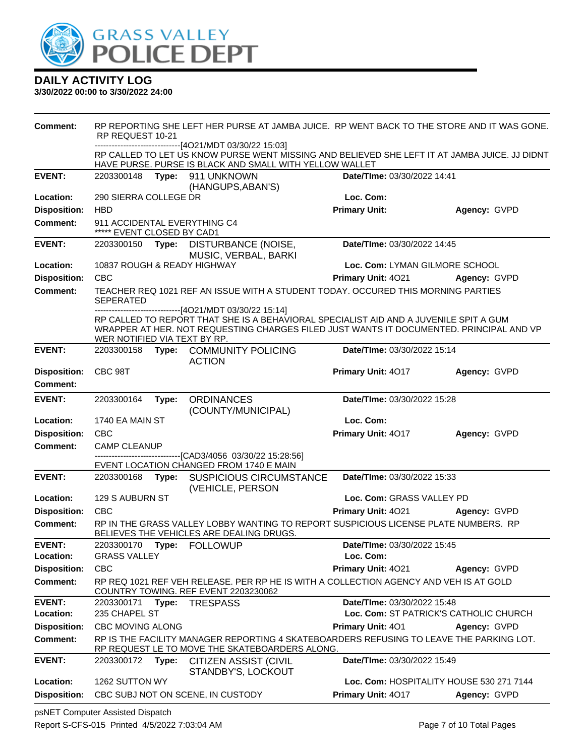

#### **3/30/2022 00:00 to 3/30/2022 24:00**

| <b>Comment:</b>     | RP REPORTING SHE LEFT HER PURSE AT JAMBA JUICE. RP WENT BACK TO THE STORE AND IT WAS GONE.<br>RP REQUEST 10-21<br>-------------------[4O21/MDT 03/30/22 15:03] |       |                                                                                                                                                                                                                                             |                                          |              |
|---------------------|----------------------------------------------------------------------------------------------------------------------------------------------------------------|-------|---------------------------------------------------------------------------------------------------------------------------------------------------------------------------------------------------------------------------------------------|------------------------------------------|--------------|
|                     |                                                                                                                                                                |       | RP CALLED TO LET US KNOW PURSE WENT MISSING AND BELIEVED SHE LEFT IT AT JAMBA JUICE. JJ DIDNT<br>HAVE PURSE. PURSE IS BLACK AND SMALL WITH YELLOW WALLET                                                                                    |                                          |              |
| <b>EVENT:</b>       | 2203300148                                                                                                                                                     |       | Type: 911 UNKNOWN<br>(HANGUPS, ABAN'S)                                                                                                                                                                                                      | Date/TIme: 03/30/2022 14:41              |              |
| Location:           | 290 SIERRA COLLEGE DR                                                                                                                                          |       |                                                                                                                                                                                                                                             | Loc. Com:                                |              |
| <b>Disposition:</b> | <b>HBD</b>                                                                                                                                                     |       |                                                                                                                                                                                                                                             | <b>Primary Unit:</b>                     | Agency: GVPD |
| <b>Comment:</b>     | 911 ACCIDENTAL EVERYTHING C4<br>***** EVENT CLOSED BY CAD1                                                                                                     |       |                                                                                                                                                                                                                                             |                                          |              |
| <b>EVENT:</b>       |                                                                                                                                                                |       | 2203300150 Type: DISTURBANCE (NOISE,<br>MUSIC, VERBAL, BARKI                                                                                                                                                                                | Date/TIme: 03/30/2022 14:45              |              |
| Location:           | 10837 ROUGH & READY HIGHWAY                                                                                                                                    |       |                                                                                                                                                                                                                                             | Loc. Com: LYMAN GILMORE SCHOOL           |              |
| <b>Disposition:</b> | <b>CBC</b>                                                                                                                                                     |       |                                                                                                                                                                                                                                             | <b>Primary Unit: 4021</b>                | Agency: GVPD |
| <b>Comment:</b>     | SEPERATED                                                                                                                                                      |       | TEACHER REQ 1021 REF AN ISSUE WITH A STUDENT TODAY. OCCURED THIS MORNING PARTIES                                                                                                                                                            |                                          |              |
|                     | WER NOTIFIED VIA TEXT BY RP.                                                                                                                                   |       | ------------------------------[4O21/MDT 03/30/22 15:14]<br>RP CALLED TO REPORT THAT SHE IS A BEHAVIORAL SPECIALIST AID AND A JUVENILE SPIT A GUM<br>WRAPPER AT HER. NOT REQUESTING CHARGES FILED JUST WANTS IT DOCUMENTED. PRINCIPAL AND VP |                                          |              |
| <b>EVENT:</b>       | 2203300158                                                                                                                                                     |       | Type: COMMUNITY POLICING<br><b>ACTION</b>                                                                                                                                                                                                   | Date/TIme: 03/30/2022 15:14              |              |
| <b>Disposition:</b> | CBC 98T                                                                                                                                                        |       |                                                                                                                                                                                                                                             | Primary Unit: 4017                       | Agency: GVPD |
| Comment:            |                                                                                                                                                                |       |                                                                                                                                                                                                                                             |                                          |              |
| <b>EVENT:</b>       | 2203300164                                                                                                                                                     | Type: | <b>ORDINANCES</b><br>(COUNTY/MUNICIPAL)                                                                                                                                                                                                     | Date/TIme: 03/30/2022 15:28              |              |
| Location:           | 1740 EA MAIN ST                                                                                                                                                |       |                                                                                                                                                                                                                                             | Loc. Com:                                |              |
| <b>Disposition:</b> | CBC                                                                                                                                                            |       |                                                                                                                                                                                                                                             | Primary Unit: 4017                       | Agency: GVPD |
| <b>Comment:</b>     | CAMP CLEANUP                                                                                                                                                   |       |                                                                                                                                                                                                                                             |                                          |              |
|                     |                                                                                                                                                                |       | -----------------------[CAD3/4056 03/30/22 15:28:56]<br>EVENT LOCATION CHANGED FROM 1740 E MAIN                                                                                                                                             |                                          |              |
| <b>EVENT:</b>       | 2203300168                                                                                                                                                     | Type: | <b>SUSPICIOUS CIRCUMSTANCE</b><br>(VEHICLE, PERSON                                                                                                                                                                                          | Date/TIme: 03/30/2022 15:33              |              |
| Location:           | 129 S AUBURN ST                                                                                                                                                |       |                                                                                                                                                                                                                                             | Loc. Com: GRASS VALLEY PD                |              |
| <b>Disposition:</b> | CBC                                                                                                                                                            |       |                                                                                                                                                                                                                                             | Primary Unit: 4021                       | Agency: GVPD |
| <b>Comment:</b>     |                                                                                                                                                                |       | RP IN THE GRASS VALLEY LOBBY WANTING TO REPORT SUSPICIOUS LICENSE PLATE NUMBERS. RP<br>BELIEVES THE VEHICLES ARE DEALING DRUGS.                                                                                                             |                                          |              |
| <b>EVENT:</b>       |                                                                                                                                                                |       | 2203300170 Type: FOLLOWUP                                                                                                                                                                                                                   | Date/TIme: 03/30/2022 15:45              |              |
| Location:           | <b>GRASS VALLEY</b>                                                                                                                                            |       |                                                                                                                                                                                                                                             | Loc. Com:                                |              |
| <b>Disposition:</b> | <b>CBC</b>                                                                                                                                                     |       |                                                                                                                                                                                                                                             | Primary Unit: 4021                       | Agency: GVPD |
| Comment:            | RP REQ 1021 REF VEH RELEASE. PER RP HE IS WITH A COLLECTION AGENCY AND VEH IS AT GOLD<br>COUNTRY TOWING. REF EVENT 2203230062                                  |       |                                                                                                                                                                                                                                             |                                          |              |
| <b>EVENT:</b>       | 2203300171                                                                                                                                                     | Type: | <b>TRESPASS</b>                                                                                                                                                                                                                             | Date/TIme: 03/30/2022 15:48              |              |
| Location:           | 235 CHAPEL ST                                                                                                                                                  |       |                                                                                                                                                                                                                                             | Loc. Com: ST PATRICK'S CATHOLIC CHURCH   |              |
| <b>Disposition:</b> | <b>CBC MOVING ALONG</b>                                                                                                                                        |       |                                                                                                                                                                                                                                             | <b>Primary Unit: 401</b>                 | Agency: GVPD |
| <b>Comment:</b>     |                                                                                                                                                                |       | RP IS THE FACILITY MANAGER REPORTING 4 SKATEBOARDERS REFUSING TO LEAVE THE PARKING LOT.<br>RP REQUEST LE TO MOVE THE SKATEBOARDERS ALONG.                                                                                                   |                                          |              |
| <b>EVENT:</b>       | 2203300172                                                                                                                                                     | Type: | <b>CITIZEN ASSIST (CIVIL</b><br>STANDBY'S, LOCKOUT                                                                                                                                                                                          | Date/TIme: 03/30/2022 15:49              |              |
| Location:           | 1262 SUTTON WY                                                                                                                                                 |       |                                                                                                                                                                                                                                             | Loc. Com: HOSPITALITY HOUSE 530 271 7144 |              |
| <b>Disposition:</b> |                                                                                                                                                                |       | CBC SUBJ NOT ON SCENE, IN CUSTODY                                                                                                                                                                                                           | Primary Unit: 4017                       | Agency: GVPD |

psNET Computer Assisted Dispatch Report S-CFS-015 Printed 4/5/2022 7:03:04 AM Page 7 of 10 Total Pages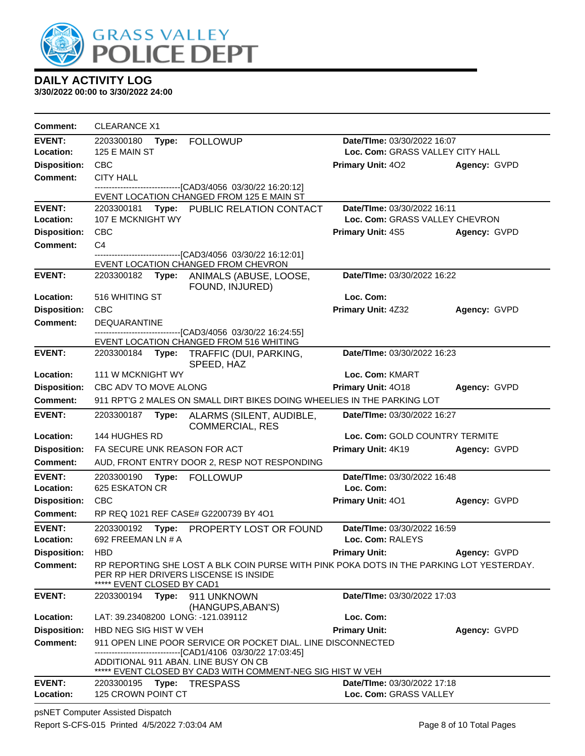

**3/30/2022 00:00 to 3/30/2022 24:00**

| <b>Comment:</b>                 | <b>CLEARANCE X1</b>                  |                                                                                                                                   |                                                       |              |
|---------------------------------|--------------------------------------|-----------------------------------------------------------------------------------------------------------------------------------|-------------------------------------------------------|--------------|
| <b>EVENT:</b>                   | 2203300180<br>Type:                  | <b>FOLLOWUP</b>                                                                                                                   | Date/TIme: 03/30/2022 16:07                           |              |
| Location:                       | 125 E MAIN ST                        |                                                                                                                                   | Loc. Com: GRASS VALLEY CITY HALL                      |              |
| <b>Disposition:</b>             | <b>CBC</b>                           |                                                                                                                                   | <b>Primary Unit: 402</b>                              | Agency: GVPD |
| Comment:                        | <b>CITY HALL</b>                     |                                                                                                                                   |                                                       |              |
|                                 |                                      | -------------------------[CAD3/4056_03/30/22 16:20:12]<br>EVENT LOCATION CHANGED FROM 125 E MAIN ST                               |                                                       |              |
| <b>EVENT:</b>                   | 2203300181                           | Type: PUBLIC RELATION CONTACT                                                                                                     | Date/TIme: 03/30/2022 16:11                           |              |
| Location:                       | 107 E MCKNIGHT WY                    |                                                                                                                                   | Loc. Com: GRASS VALLEY CHEVRON                        |              |
| <b>Disposition:</b>             | <b>CBC</b>                           |                                                                                                                                   | <b>Primary Unit: 4S5</b>                              | Agency: GVPD |
| <b>Comment:</b>                 | C <sub>4</sub>                       |                                                                                                                                   |                                                       |              |
|                                 |                                      | ----------------[CAD3/4056 03/30/22 16:12:01]                                                                                     |                                                       |              |
| <b>EVENT:</b>                   | 2203300182                           | EVENT LOCATION CHANGED FROM CHEVRON<br>Type: ANIMALS (ABUSE, LOOSE,                                                               | Date/TIme: 03/30/2022 16:22                           |              |
|                                 |                                      | FOUND, INJURED)                                                                                                                   |                                                       |              |
| Location:                       | 516 WHITING ST                       |                                                                                                                                   | Loc. Com:                                             |              |
| <b>Disposition:</b>             | <b>CBC</b>                           |                                                                                                                                   | Primary Unit: 4Z32                                    | Agency: GVPD |
| Comment:                        | <b>DEQUARANTINE</b>                  |                                                                                                                                   |                                                       |              |
|                                 |                                      | --------------------------[CAD3/4056_03/30/22 16:24:55]<br>EVENT LOCATION CHANGED FROM 516 WHITING                                |                                                       |              |
| <b>EVENT:</b>                   | 2203300184<br>Type:                  | TRAFFIC (DUI, PARKING,                                                                                                            | Date/TIme: 03/30/2022 16:23                           |              |
|                                 |                                      | SPEED, HAZ                                                                                                                        |                                                       |              |
| Location:                       | 111 W MCKNIGHT WY                    |                                                                                                                                   | Loc. Com: KMART                                       |              |
| <b>Disposition:</b>             | CBC ADV TO MOVE ALONG                |                                                                                                                                   | Primary Unit: 4018                                    | Agency: GVPD |
| <b>Comment:</b>                 |                                      | 911 RPT'G 2 MALES ON SMALL DIRT BIKES DOING WHEELIES IN THE PARKING LOT                                                           |                                                       |              |
| <b>EVENT:</b>                   | 2203300187<br>Type:                  | ALARMS (SILENT, AUDIBLE,<br><b>COMMERCIAL, RES</b>                                                                                | Date/TIme: 03/30/2022 16:27                           |              |
| Location:                       | 144 HUGHES RD                        |                                                                                                                                   | Loc. Com: GOLD COUNTRY TERMITE                        |              |
| <b>Disposition:</b>             | FA SECURE UNK REASON FOR ACT         |                                                                                                                                   | Primary Unit: 4K19                                    | Agency: GVPD |
| Comment:                        |                                      | AUD, FRONT ENTRY DOOR 2, RESP NOT RESPONDING                                                                                      |                                                       |              |
| <b>EVENT:</b>                   | 2203300190<br>Type:                  | <b>FOLLOWUP</b>                                                                                                                   | Date/TIme: 03/30/2022 16:48                           |              |
| Location:                       | 625 ESKATON CR                       |                                                                                                                                   | Loc. Com:                                             |              |
| <b>Disposition:</b>             | <b>CBC</b>                           |                                                                                                                                   | Primary Unit: 401                                     | Agency: GVPD |
| <b>Comment:</b>                 |                                      | RP REQ 1021 REF CASE# G2200739 BY 4O1                                                                                             |                                                       |              |
| <b>EVENT:</b>                   | 2203300192<br>Type:                  | PROPERTY LOST OR FOUND                                                                                                            | Date/TIme: 03/30/2022 16:59                           |              |
| Location:                       | 692 FREEMAN LN # A                   |                                                                                                                                   | Loc. Com: RALEYS                                      |              |
| <b>Disposition:</b>             | <b>HBD</b>                           |                                                                                                                                   | <b>Primary Unit:</b>                                  | Agency: GVPD |
| Comment:                        | EVENT CLOSED BY CAD1                 | RP REPORTING SHE LOST A BLK COIN PURSE WITH PINK POKA DOTS IN THE PARKING LOT YESTERDAY.<br>PER RP HER DRIVERS LISCENSE IS INSIDE |                                                       |              |
| <b>EVENT:</b>                   | 2203300194<br>Type:                  | 911 UNKNOWN                                                                                                                       | Date/TIme: 03/30/2022 17:03                           |              |
| Location:                       | LAT: 39.23408200 LONG: -121.039112   | (HANGUPS, ABAN'S)                                                                                                                 | Loc. Com:                                             |              |
|                                 | HBD NEG SIG HIST W VEH               |                                                                                                                                   |                                                       |              |
| <b>Disposition:</b><br>Comment: |                                      | 911 OPEN LINE POOR SERVICE OR POCKET DIAL. LINE DISCONNECTED                                                                      | <b>Primary Unit:</b>                                  | Agency: GVPD |
|                                 |                                      | -------------------------------[CAD1/4106 03/30/22 17:03:45]                                                                      |                                                       |              |
|                                 | ADDITIONAL 911 ABAN. LINE BUSY ON CB |                                                                                                                                   |                                                       |              |
|                                 |                                      | ***** EVENT CLOSED BY CAD3 WITH COMMENT-NEG SIG HIST W VEH                                                                        |                                                       |              |
| <b>EVENT:</b><br>Location:      | 2203300195<br>125 CROWN POINT CT     | <b>Type: TRESPASS</b>                                                                                                             | Date/TIme: 03/30/2022 17:18<br>Loc. Com: GRASS VALLEY |              |
|                                 |                                      |                                                                                                                                   |                                                       |              |

psNET Computer Assisted Dispatch Report S-CFS-015 Printed 4/5/2022 7:03:04 AM Page 8 of 10 Total Pages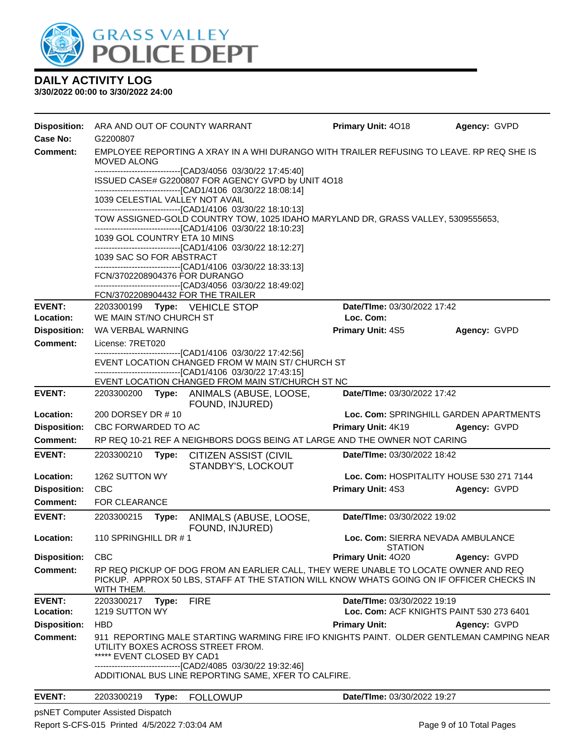

#### **3/30/2022 00:00 to 3/30/2022 24:00**

| <b>Disposition:</b> | ARA AND OUT OF COUNTY WARRANT                                                                                  |       |                                                                                                                                                                                  | <b>Primary Unit: 4018</b>          | Agency: GVPD                                                                             |  |  |
|---------------------|----------------------------------------------------------------------------------------------------------------|-------|----------------------------------------------------------------------------------------------------------------------------------------------------------------------------------|------------------------------------|------------------------------------------------------------------------------------------|--|--|
| Case No:            | G2200807                                                                                                       |       |                                                                                                                                                                                  |                                    |                                                                                          |  |  |
| Comment:            | EMPLOYEE REPORTING A XRAY IN A WHI DURANGO WITH TRAILER REFUSING TO LEAVE. RP REQ SHE IS<br><b>MOVED ALONG</b> |       |                                                                                                                                                                                  |                                    |                                                                                          |  |  |
|                     |                                                                                                                |       | -----------------------------------[CAD3/4056 03/30/22 17:45:40]<br>ISSUED CASE# G2200807 FOR AGENCY GVPD by UNIT 4O18                                                           |                                    |                                                                                          |  |  |
|                     |                                                                                                                |       | -------------------------------[CAD1/4106 03/30/22 18:08:14]                                                                                                                     |                                    |                                                                                          |  |  |
|                     | 1039 CELESTIAL VALLEY NOT AVAIL                                                                                |       | --------------------------------[CAD1/4106 03/30/22 18:10:13]                                                                                                                    |                                    |                                                                                          |  |  |
|                     |                                                                                                                |       | TOW ASSIGNED-GOLD COUNTRY TOW, 1025 IDAHO MARYLAND DR, GRASS VALLEY, 5309555653,<br>--------------------------------[CAD1/4106 03/30/22 18:10:23]                                |                                    |                                                                                          |  |  |
|                     | 1039 GOL COUNTRY ETA 10 MINS                                                                                   |       | -------------------------------[CAD1/4106 03/30/22 18:12:27]                                                                                                                     |                                    |                                                                                          |  |  |
|                     | 1039 SAC SO FOR ABSTRACT                                                                                       |       |                                                                                                                                                                                  |                                    |                                                                                          |  |  |
|                     |                                                                                                                |       | -------------------------------[CAD1/4106_03/30/22 18:33:13]                                                                                                                     |                                    |                                                                                          |  |  |
|                     | FCN/3702208904376 FOR DURANGO                                                                                  |       |                                                                                                                                                                                  |                                    |                                                                                          |  |  |
|                     |                                                                                                                |       | ------------------------------[CAD3/4056  03/30/22 18:49:02]<br>FCN/3702208904432 FOR THE TRAILER                                                                                |                                    |                                                                                          |  |  |
| <b>EVENT:</b>       |                                                                                                                |       | 2203300199 Type: VEHICLE STOP                                                                                                                                                    | Date/TIme: 03/30/2022 17:42        |                                                                                          |  |  |
| Location:           | WE MAIN ST/NO CHURCH ST                                                                                        |       |                                                                                                                                                                                  | Loc. Com:                          |                                                                                          |  |  |
| <b>Disposition:</b> | WA VERBAL WARNING                                                                                              |       |                                                                                                                                                                                  | Primary Unit: 4S5                  | Agency: GVPD                                                                             |  |  |
| Comment:            | License: 7RET020                                                                                               |       |                                                                                                                                                                                  |                                    |                                                                                          |  |  |
|                     |                                                                                                                |       | ---------------------------------[CAD1/4106 03/30/22 17:42:56]<br>EVENT LOCATION CHANGED FROM W MAIN ST/ CHURCH ST                                                               |                                    |                                                                                          |  |  |
|                     |                                                                                                                |       | ------------------------------[CAD1/4106_03/30/22 17:43:15]<br>EVENT LOCATION CHANGED FROM MAIN ST/CHURCH ST NC                                                                  |                                    |                                                                                          |  |  |
| <b>EVENT:</b>       |                                                                                                                |       | 2203300200 Type: ANIMALS (ABUSE, LOOSE,                                                                                                                                          | <b>Date/Time: 03/30/2022 17:42</b> |                                                                                          |  |  |
|                     | FOUND, INJURED)                                                                                                |       |                                                                                                                                                                                  |                                    |                                                                                          |  |  |
| <b>Location:</b>    | 200 DORSEY DR #10                                                                                              |       |                                                                                                                                                                                  |                                    | Loc. Com: SPRINGHILL GARDEN APARTMENTS                                                   |  |  |
| <b>Disposition:</b> | CBC FORWARDED TO AC                                                                                            |       |                                                                                                                                                                                  | <b>Primary Unit: 4K19</b>          | Agency: GVPD                                                                             |  |  |
| Comment:            |                                                                                                                |       | RP REQ 10-21 REF A NEIGHBORS DOGS BEING AT LARGE AND THE OWNER NOT CARING                                                                                                        |                                    |                                                                                          |  |  |
| <b>EVENT:</b>       | 2203300210                                                                                                     | Type: | <b>CITIZEN ASSIST (CIVIL</b><br>STANDBY'S, LOCKOUT                                                                                                                               | Date/TIme: 03/30/2022 18:42        |                                                                                          |  |  |
| Location:           | 1262 SUTTON WY                                                                                                 |       |                                                                                                                                                                                  |                                    | Loc. Com: HOSPITALITY HOUSE 530 271 7144                                                 |  |  |
| <b>Disposition:</b> | <b>CBC</b>                                                                                                     |       |                                                                                                                                                                                  | <b>Primary Unit: 4S3</b>           | Agency: GVPD                                                                             |  |  |
| <b>Comment:</b>     | <b>FOR CLEARANCE</b>                                                                                           |       |                                                                                                                                                                                  |                                    |                                                                                          |  |  |
| <b>EVENT:</b>       | 2203300215                                                                                                     |       | Type: ANIMALS (ABUSE, LOOSE,<br>FOUND, INJURED)                                                                                                                                  | Date/TIme: 03/30/2022 19:02        |                                                                                          |  |  |
| Location:           | 110 SPRINGHILL DR #1                                                                                           |       |                                                                                                                                                                                  | <b>STATION</b>                     | Loc. Com: SIERRA NEVADA AMBULANCE                                                        |  |  |
| <b>Disposition:</b> | <b>CBC</b>                                                                                                     |       |                                                                                                                                                                                  | Primary Unit: 4020                 | Agency: GVPD                                                                             |  |  |
| <b>Comment:</b>     | WITH THEM.                                                                                                     |       | RP REQ PICKUP OF DOG FROM AN EARLIER CALL, THEY WERE UNABLE TO LOCATE OWNER AND REQ<br>PICKUP. APPROX 50 LBS, STAFF AT THE STATION WILL KNOW WHATS GOING ON IF OFFICER CHECKS IN |                                    |                                                                                          |  |  |
| <b>EVENT:</b>       | 2203300217                                                                                                     | Type: | <b>FIRE</b>                                                                                                                                                                      | Date/TIme: 03/30/2022 19:19        |                                                                                          |  |  |
| Location:           | 1219 SUTTON WY                                                                                                 |       |                                                                                                                                                                                  |                                    | Loc. Com: ACF KNIGHTS PAINT 530 273 6401                                                 |  |  |
| <b>Disposition:</b> | <b>HBD</b>                                                                                                     |       |                                                                                                                                                                                  | <b>Primary Unit:</b>               | Agency: GVPD                                                                             |  |  |
| <b>Comment:</b>     | ***** EVENT CLOSED BY CAD1                                                                                     |       | UTILITY BOXES ACROSS STREET FROM.<br>------------------------[CAD2/4085_03/30/22_19:32:46]                                                                                       |                                    | 911 REPORTING MALE STARTING WARMING FIRE IFO KNIGHTS PAINT. OLDER GENTLEMAN CAMPING NEAR |  |  |
|                     |                                                                                                                |       | ADDITIONAL BUS LINE REPORTING SAME, XFER TO CALFIRE.                                                                                                                             |                                    |                                                                                          |  |  |
| <b>EVENT:</b>       | 2203300219                                                                                                     | Type: | <b>FOLLOWUP</b>                                                                                                                                                                  | Date/TIme: 03/30/2022 19:27        |                                                                                          |  |  |

psNET Computer Assisted Dispatch Report S-CFS-015 Printed 4/5/2022 7:03:04 AM Page 9 of 10 Total Pages